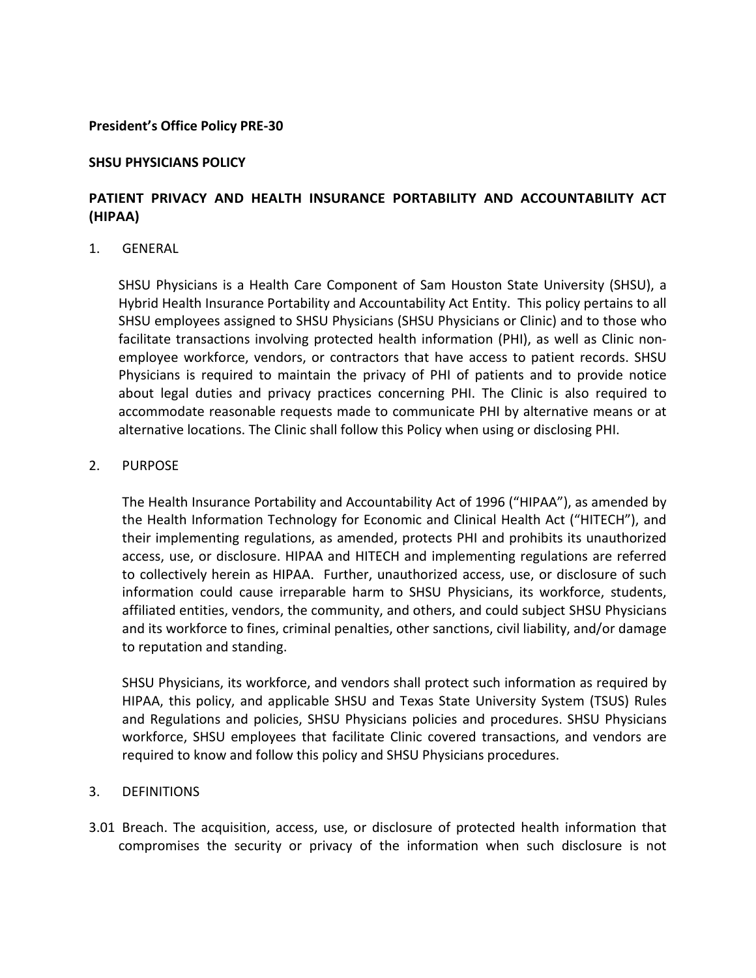### **President's Office Policy PRE-30**

## **SHSU PHYSICIANS POLICY**

# **PATIENT PRIVACY AND HEALTH INSURANCE PORTABILITY AND ACCOUNTABILITY ACT (HIPAA)**

### 1. GENERAL

SHSU Physicians is a Health Care Component of Sam Houston State University (SHSU), a Hybrid Health Insurance Portability and Accountability Act Entity. This policy pertains to all SHSU employees assigned to SHSU Physicians (SHSU Physicians or Clinic) and to those who facilitate transactions involving protected health information (PHI), as well as Clinic nonemployee workforce, vendors, or contractors that have access to patient records. SHSU Physicians is required to maintain the privacy of PHI of patients and to provide notice about legal duties and privacy practices concerning PHI. The Clinic is also required to accommodate reasonable requests made to communicate PHI by alternative means or at alternative locations. The Clinic shall follow this Policy when using or disclosing PHI.

### 2. PURPOSE

The Health Insurance Portability and Accountability Act of 1996 ("HIPAA"), as amended by the Health Information Technology for Economic and Clinical Health Act ("HITECH"), and their implementing regulations, as amended, protects PHI and prohibits its unauthorized access, use, or disclosure. HIPAA and HITECH and implementing regulations are referred to collectively herein as HIPAA. Further, unauthorized access, use, or disclosure of such information could cause irreparable harm to SHSU Physicians, its workforce, students, affiliated entities, vendors, the community, and others, and could subject SHSU Physicians and its workforce to fines, criminal penalties, other sanctions, civil liability, and/or damage to reputation and standing.

SHSU Physicians, its workforce, and vendors shall protect such information as required by HIPAA, this policy, and applicable SHSU and Texas State University System (TSUS) Rules and Regulations and policies, SHSU Physicians policies and procedures. SHSU Physicians workforce, SHSU employees that facilitate Clinic covered transactions, and vendors are required to know and follow this policy and SHSU Physicians procedures.

### 3. DEFINITIONS

3.01 Breach. The acquisition, access, use, or disclosure of protected health information that compromises the security or privacy of the information when such disclosure is not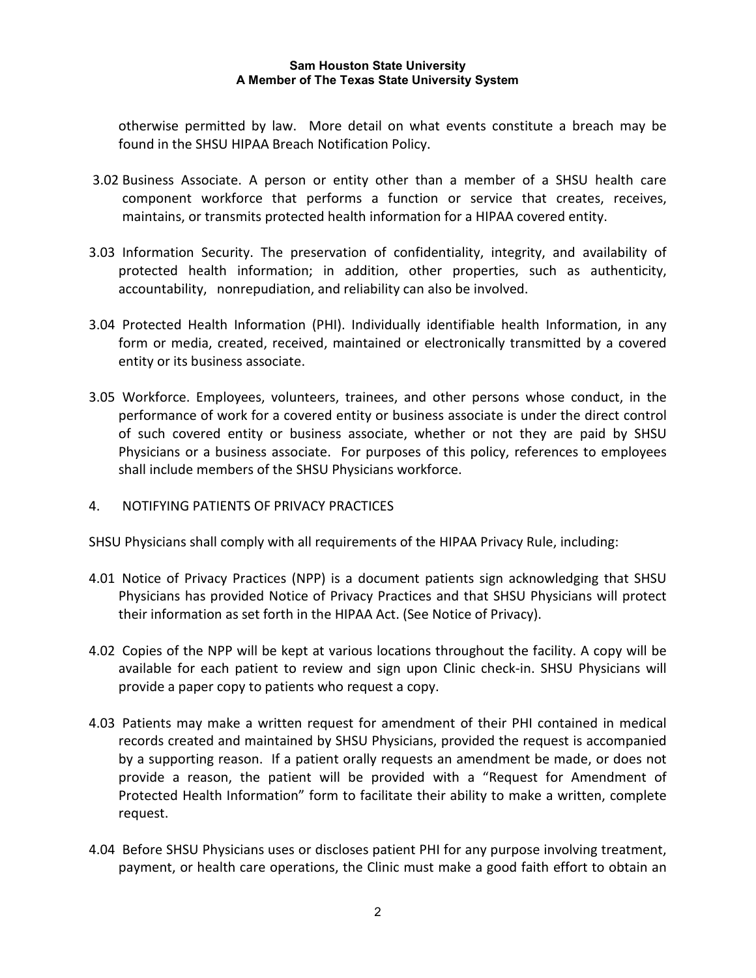otherwise permitted by law. More detail on what events constitute a breach may be found in the SHSU HIPAA Breach Notification Policy.

- 3.02 Business Associate. A person or entity other than a member of a SHSU health care component workforce that performs a function or service that creates, receives, maintains, or transmits protected health information for a HIPAA covered entity.
- 3.03 Information Security. The preservation of confidentiality, integrity, and availability of protected health information; in addition, other properties, such as authenticity, accountability, nonrepudiation, and reliability can also be involved.
- 3.04 Protected Health Information (PHI). Individually identifiable health Information, in any form or media, created, received, maintained or electronically transmitted by a covered entity or its business associate.
- 3.05 Workforce. Employees, volunteers, trainees, and other persons whose conduct, in the performance of work for a covered entity or business associate is under the direct control of such covered entity or business associate, whether or not they are paid by SHSU Physicians or a business associate. For purposes of this policy, references to employees shall include members of the SHSU Physicians workforce.
- 4. NOTIFYING PATIENTS OF PRIVACY PRACTICES

SHSU Physicians shall comply with all requirements of the HIPAA Privacy Rule, including:

- 4.01 Notice of Privacy Practices (NPP) is a document patients sign acknowledging that SHSU Physicians has provided Notice of Privacy Practices and that SHSU Physicians will protect their information as set forth in the HIPAA Act. (See Notice of Privacy).
- 4.02 Copies of the NPP will be kept at various locations throughout the facility. A copy will be available for each patient to review and sign upon Clinic check-in. SHSU Physicians will provide a paper copy to patients who request a copy.
- 4.03 Patients may make a written request for amendment of their PHI contained in medical records created and maintained by SHSU Physicians, provided the request is accompanied by a supporting reason. If a patient orally requests an amendment be made, or does not provide a reason, the patient will be provided with a "Request for Amendment of Protected Health Information" form to facilitate their ability to make a written, complete request.
- 4.04 Before SHSU Physicians uses or discloses patient PHI for any purpose involving treatment, payment, or health care operations, the Clinic must make a good faith effort to obtain an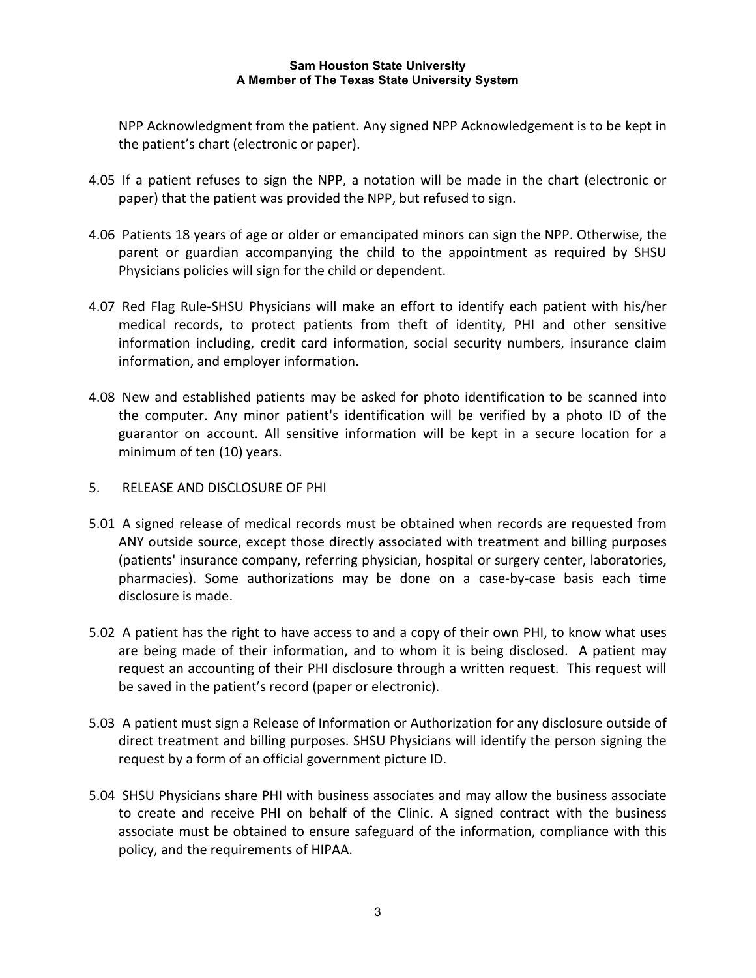NPP Acknowledgment from the patient. Any signed NPP Acknowledgement is to be kept in the patient's chart (electronic or paper).

- 4.05 If a patient refuses to sign the NPP, a notation will be made in the chart (electronic or paper) that the patient was provided the NPP, but refused to sign.
- 4.06 Patients 18 years of age or older or emancipated minors can sign the NPP. Otherwise, the parent or guardian accompanying the child to the appointment as required by SHSU Physicians policies will sign for the child or dependent.
- 4.07 Red Flag Rule-SHSU Physicians will make an effort to identify each patient with his/her medical records, to protect patients from theft of identity, PHI and other sensitive information including, credit card information, social security numbers, insurance claim information, and employer information.
- 4.08 New and established patients may be asked for photo identification to be scanned into the computer. Any minor patient's identification will be verified by a photo ID of the guarantor on account. All sensitive information will be kept in a secure location for a minimum of ten (10) years.
- 5. RELEASE AND DISCLOSURE OF PHI
- 5.01 A signed release of medical records must be obtained when records are requested from ANY outside source, except those directly associated with treatment and billing purposes (patients' insurance company, referring physician, hospital or surgery center, laboratories, pharmacies). Some authorizations may be done on a case-by-case basis each time disclosure is made.
- 5.02 A patient has the right to have access to and a copy of their own PHI, to know what uses are being made of their information, and to whom it is being disclosed. A patient may request an accounting of their PHI disclosure through a written request. This request will be saved in the patient's record (paper or electronic).
- 5.03 A patient must sign a Release of Information or Authorization for any disclosure outside of direct treatment and billing purposes. SHSU Physicians will identify the person signing the request by a form of an official government picture ID.
- 5.04 SHSU Physicians share PHI with business associates and may allow the business associate to create and receive PHI on behalf of the Clinic. A signed contract with the business associate must be obtained to ensure safeguard of the information, compliance with this policy, and the requirements of HIPAA.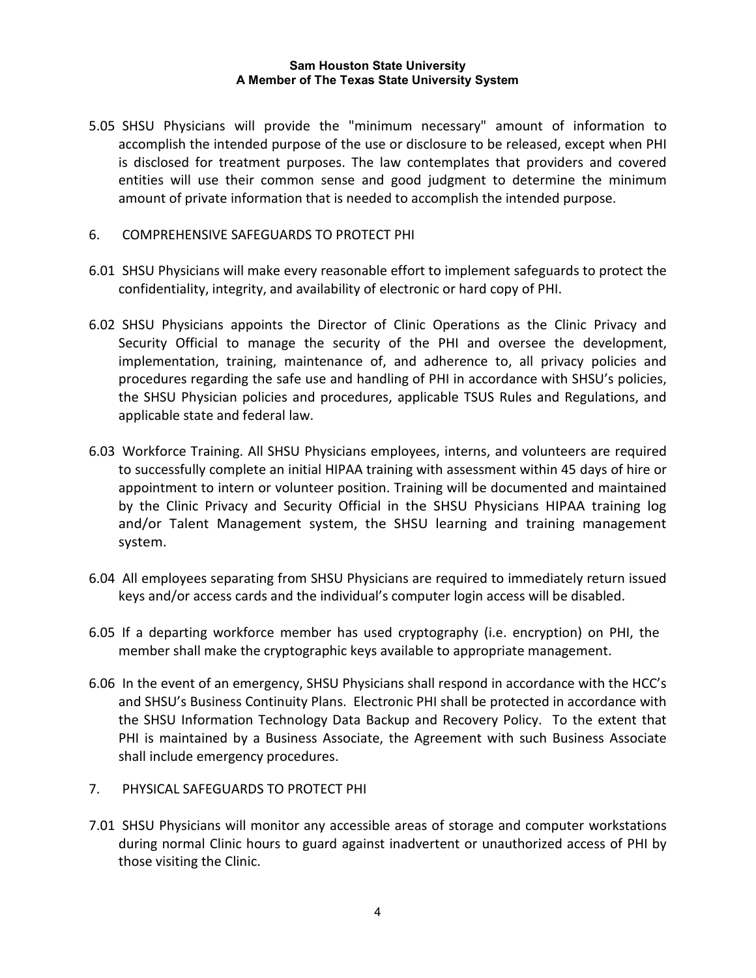- 5.05 SHSU Physicians will provide the "minimum necessary" amount of information to accomplish the intended purpose of the use or disclosure to be released, except when PHI is disclosed for treatment purposes. The law contemplates that providers and covered entities will use their common sense and good judgment to determine the minimum amount of private information that is needed to accomplish the intended purpose.
- 6. COMPREHENSIVE SAFEGUARDS TO PROTECT PHI
- 6.01 SHSU Physicians will make every reasonable effort to implement safeguards to protect the confidentiality, integrity, and availability of electronic or hard copy of PHI.
- 6.02 SHSU Physicians appoints the Director of Clinic Operations as the Clinic Privacy and Security Official to manage the security of the PHI and oversee the development, implementation, training, maintenance of, and adherence to, all privacy policies and procedures regarding the safe use and handling of PHI in accordance with SHSU's policies, the SHSU Physician policies and procedures, applicable TSUS Rules and Regulations, and applicable state and federal law.
- 6.03 Workforce Training. All SHSU Physicians employees, interns, and volunteers are required to successfully complete an initial HIPAA training with assessment within 45 days of hire or appointment to intern or volunteer position. Training will be documented and maintained by the Clinic Privacy and Security Official in the SHSU Physicians HIPAA training log and/or Talent Management system, the SHSU learning and training management system.
- 6.04 All employees separating from SHSU Physicians are required to immediately return issued keys and/or access cards and the individual's computer login access will be disabled.
- 6.05 If a departing workforce member has used cryptography (i.e. encryption) on PHI, the member shall make the cryptographic keys available to appropriate management.
- 6.06 In the event of an emergency, SHSU Physicians shall respond in accordance with the HCC's and SHSU's Business Continuity Plans. Electronic PHI shall be protected in accordance with the SHSU Information Technology Data Backup and Recovery Policy. To the extent that PHI is maintained by a Business Associate, the Agreement with such Business Associate shall include emergency procedures.
- 7. PHYSICAL SAFEGUARDS TO PROTECT PHI
- 7.01 SHSU Physicians will monitor any accessible areas of storage and computer workstations during normal Clinic hours to guard against inadvertent or unauthorized access of PHI by those visiting the Clinic.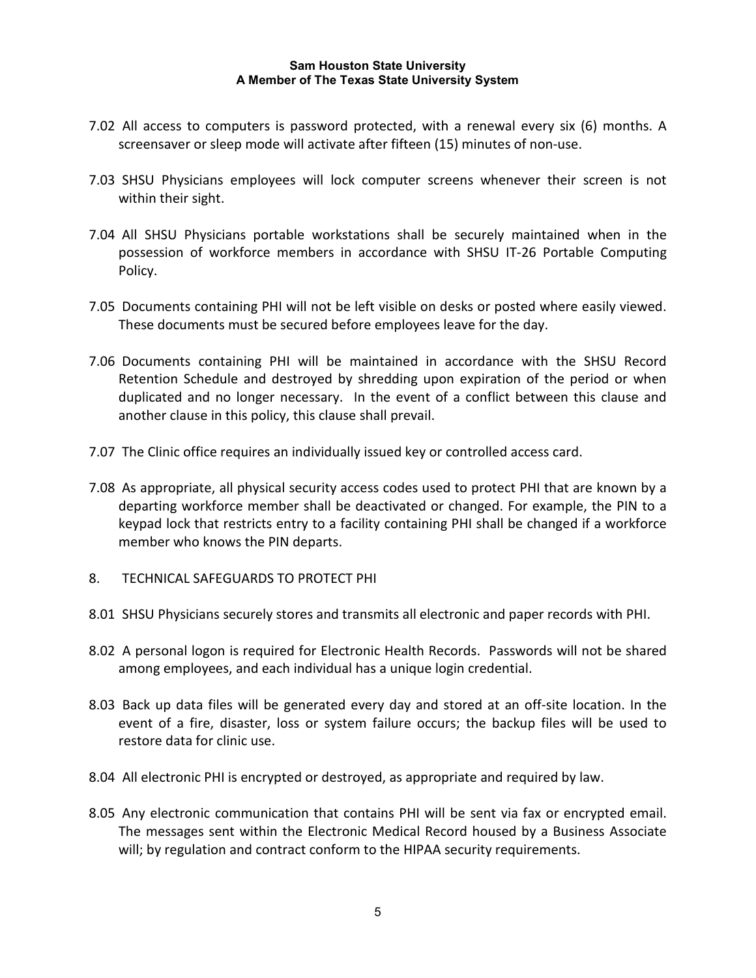- 7.02 All access to computers is password protected, with a renewal every six (6) months. A screensaver or sleep mode will activate after fifteen (15) minutes of non-use.
- 7.03 SHSU Physicians employees will lock computer screens whenever their screen is not within their sight.
- 7.04 All SHSU Physicians portable workstations shall be securely maintained when in the possession of workforce members in accordance with SHSU IT-26 Portable Computing Policy.
- 7.05 Documents containing PHI will not be left visible on desks or posted where easily viewed. These documents must be secured before employees leave for the day.
- 7.06 Documents containing PHI will be maintained in accordance with the SHSU Record Retention Schedule and destroyed by shredding upon expiration of the period or when duplicated and no longer necessary. In the event of a conflict between this clause and another clause in this policy, this clause shall prevail.
- 7.07 The Clinic office requires an individually issued key or controlled access card.
- 7.08 As appropriate, all physical security access codes used to protect PHI that are known by a departing workforce member shall be deactivated or changed. For example, the PIN to a keypad lock that restricts entry to a facility containing PHI shall be changed if a workforce member who knows the PIN departs.
- 8. TECHNICAL SAFEGUARDS TO PROTECT PHI
- 8.01 SHSU Physicians securely stores and transmits all electronic and paper records with PHI.
- 8.02 A personal logon is required for Electronic Health Records. Passwords will not be shared among employees, and each individual has a unique login credential.
- 8.03 Back up data files will be generated every day and stored at an off-site location. In the event of a fire, disaster, loss or system failure occurs; the backup files will be used to restore data for clinic use.
- 8.04 All electronic PHI is encrypted or destroyed, as appropriate and required by law.
- 8.05 Any electronic communication that contains PHI will be sent via fax or encrypted email. The messages sent within the Electronic Medical Record housed by a Business Associate will; by regulation and contract conform to the HIPAA security requirements.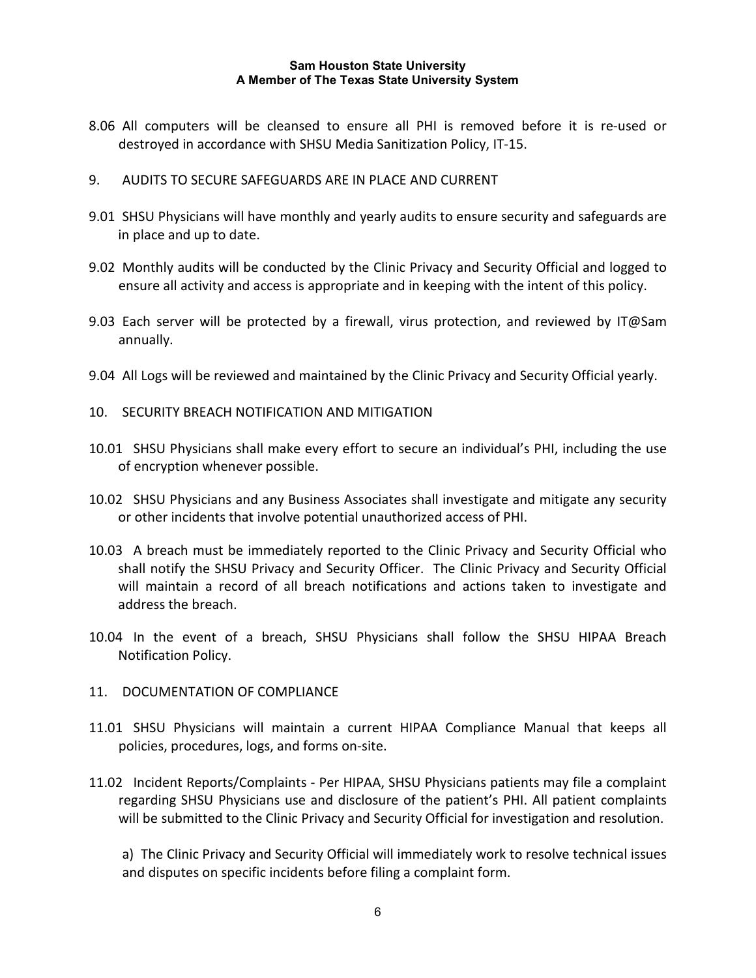- 8.06 All computers will be cleansed to ensure all PHI is removed before it is re-used or destroyed in accordance with SHSU Media Sanitization Policy, IT-15.
- 9. AUDITS TO SECURE SAFEGUARDS ARE IN PLACE AND CURRENT
- 9.01 SHSU Physicians will have monthly and yearly audits to ensure security and safeguards are in place and up to date.
- 9.02 Monthly audits will be conducted by the Clinic Privacy and Security Official and logged to ensure all activity and access is appropriate and in keeping with the intent of this policy.
- 9.03 Each server will be protected by a firewall, virus protection, and reviewed by IT@Sam annually.
- 9.04 All Logs will be reviewed and maintained by the Clinic Privacy and Security Official yearly.
- 10. SECURITY BREACH NOTIFICATION AND MITIGATION
- 10.01 SHSU Physicians shall make every effort to secure an individual's PHI, including the use of encryption whenever possible.
- 10.02 SHSU Physicians and any Business Associates shall investigate and mitigate any security or other incidents that involve potential unauthorized access of PHI.
- 10.03 A breach must be immediately reported to the Clinic Privacy and Security Official who shall notify the SHSU Privacy and Security Officer. The Clinic Privacy and Security Official will maintain a record of all breach notifications and actions taken to investigate and address the breach.
- 10.04 In the event of a breach, SHSU Physicians shall follow the SHSU HIPAA Breach Notification Policy.
- 11. DOCUMENTATION OF COMPLIANCE
- 11.01 SHSU Physicians will maintain a current HIPAA Compliance Manual that keeps all policies, procedures, logs, and forms on-site.
- 11.02 Incident Reports/Complaints Per HIPAA, SHSU Physicians patients may file a complaint regarding SHSU Physicians use and disclosure of the patient's PHI. All patient complaints will be submitted to the Clinic Privacy and Security Official for investigation and resolution.

a) The Clinic Privacy and Security Official will immediately work to resolve technical issues and disputes on specific incidents before filing a complaint form.